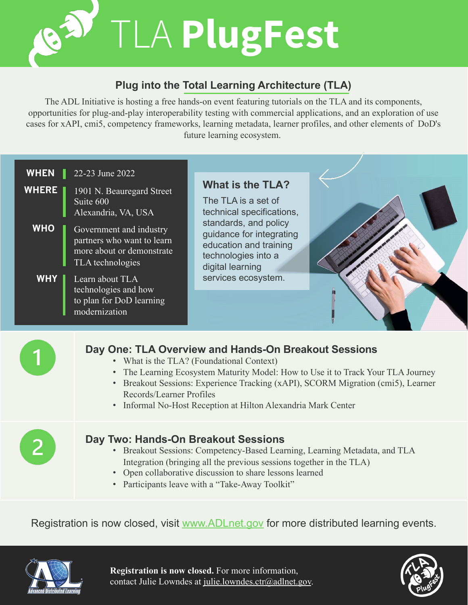TLA **PlugFest**

## **Plug into the Total Learning Architecture (TLA)**

The ADL Initiative is hosting a free hands-on event featuring tutorials on the TLA and its components, opportunities for plug-and-play interoperability testing with commercial applications, and an exploration of use cases for xAPI, cmi5, competency frameworks, learning metadata, learner profiles, and other elements of DoD's future learning ecosystem.



Registration is now closed, visit [www.ADLnet.gov](http://www.adlnet.gov/) for more distributed learning events.



**Registration is now closed.** For more information, contact Julie Lowndes at [julie.lowndes.ctr@adlnet.gov.](mailto:julie.lowndes.ctr@adlnet.gov)